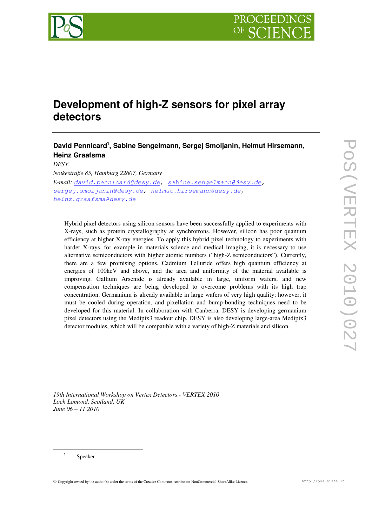

# **Development of high-Z sensors for pixel array detectors**

# **David Pennicard<sup>1</sup> , Sabine Sengelmann, Sergej Smoljanin, Helmut Hirsemann, Heinz Graafsma**

*DESY Notkestraße 85, Hamburg 22607, Germany E-mail:* david.pennicard@desy.de, sabine.sengelmann@desy.de, sergej.smoljanin@desy.de, helmut.hirsemann@desy.de, heinz.graafsma@desy.de

Hybrid pixel detectors using silicon sensors have been successfully applied to experiments with X-rays, such as protein crystallography at synchrotrons. However, silicon has poor quantum efficiency at higher X-ray energies. To apply this hybrid pixel technology to experiments with harder X-rays, for example in materials science and medical imaging, it is necessary to use alternative semiconductors with higher atomic numbers ("high-Z semiconductors"). Currently, there are a few promising options. Cadmium Telluride offers high quantum efficiency at energies of 100keV and above, and the area and uniformity of the material available is improving. Gallium Arsenide is already available in large, uniform wafers, and new compensation techniques are being developed to overcome problems with its high trap concentration. Germanium is already available in large wafers of very high quality; however, it must be cooled during operation, and pixellation and bump-bonding techniques need to be developed for this material. In collaboration with Canberra, DESY is developing germanium pixel detectors using the Medipix3 readout chip. DESY is also developing large-area Medipix3 detector modules, which will be compatible with a variety of high-Z materials and silicon.

*19th International Workshop on Vertex Detectors - VERTEX 2010 Loch Lomond, Scotland, UK June 06 – 11 2010*

1 Speaker

 $\overline{a}$ 

Copyright owned by the author(s) under the terms of the Creative Commons Attribution-NonCommercial-ShareAlike Licence. http://pos.sissa.it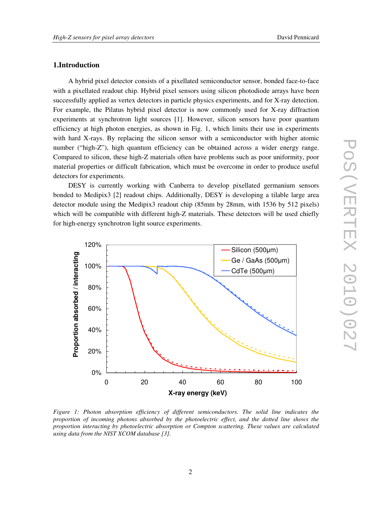## **1.Introduction**

A hybrid pixel detector consists of a pixellated semiconductor sensor, bonded face-to-face with a pixellated readout chip. Hybrid pixel sensors using silicon photodiode arrays have been successfully applied as vertex detectors in particle physics experiments, and for X-ray detection. For example, the Pilatus hybrid pixel detector is now commonly used for X-ray diffraction experiments at synchrotron light sources [1]. However, silicon sensors have poor quantum efficiency at high photon energies, as shown in Fig. 1, which limits their use in experiments with hard X-rays. By replacing the silicon sensor with a semiconductor with higher atomic number ("high-Z"), high quantum efficiency can be obtained across a wider energy range. Compared to silicon, these high-Z materials often have problems such as poor uniformity, poor material properties or difficult fabrication, which must be overcome in order to produce useful detectors for experiments.

DESY is currently working with Canberra to develop pixellated germanium sensors bonded to Medipix3 [2] readout chips. Additionally, DESY is developing a tilable large area detector module using the Medipix3 readout chip (85mm by 28mm, with 1536 by 512 pixels) which will be compatible with different high-Z materials. These detectors will be used chiefly for high-energy synchrotron light source experiments.



*Figure 1: Photon absorption efficiency of different semiconductors. The solid line indicates the proportion of incoming photons absorbed by the photoelectric effect, and the dotted line shows the proportion interacting by photoelectric absorption or Compton scattering. These values are calculated using data from the NIST XCOM database [3].*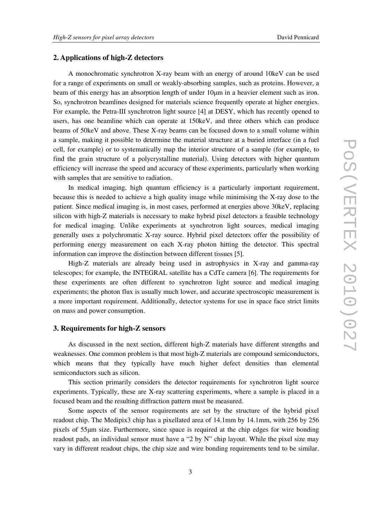# **2. Applications of high-Z detectors**

A monochromatic synchrotron X-ray beam with an energy of around 10keV can be used for a range of experiments on small or weakly-absorbing samples, such as proteins. However, a beam of this energy has an absorption length of under 10µm in a heavier element such as iron. So, synchrotron beamlines designed for materials science frequently operate at higher energies. For example, the Petra-III synchrotron light source [4] at DESY, which has recently opened to users, has one beamline which can operate at 150keV, and three others which can produce beams of 50keV and above. These X-ray beams can be focused down to a small volume within a sample, making it possible to determine the material structure at a buried interface (in a fuel cell, for example) or to systematically map the interior structure of a sample (for example, to find the grain structure of a polycrystalline material). Using detectors with higher quantum efficiency will increase the speed and accuracy of these experiments, particularly when working with samples that are sensitive to radiation.

In medical imaging, high quantum efficiency is a particularly important requirement, because this is needed to achieve a high quality image while minimising the X-ray dose to the patient. Since medical imaging is, in most cases, performed at energies above 30keV, replacing silicon with high-Z materials is necessary to make hybrid pixel detectors a feasible technology for medical imaging. Unlike experiments at synchrotron light sources, medical imaging generally uses a polychromatic X-ray source. Hybrid pixel detectors offer the possibility of performing energy measurement on each X-ray photon hitting the detector. This spectral information can improve the distinction between different tissues [5].

High-Z materials are already being used in astrophysics in X-ray and gamma-ray telescopes; for example, the INTEGRAL satellite has a CdTe camera [6]. The requirements for these experiments are often different to synchrotron light source and medical imaging experiments; the photon flux is usually much lower, and accurate spectroscopic measurement is a more important requirement. Additionally, detector systems for use in space face strict limits on mass and power consumption.

#### **3. Requirements for high-Z sensors**

As discussed in the next section, different high-Z materials have different strengths and weaknesses. One common problem is that most high-Z materials are compound semiconductors, which means that they typically have much higher defect densities than elemental semiconductors such as silicon.

This section primarily considers the detector requirements for synchrotron light source experiments. Typically, these are X-ray scattering experiments, where a sample is placed in a focused beam and the resulting diffraction pattern must be measured.

Some aspects of the sensor requirements are set by the structure of the hybrid pixel readout chip. The Medipix3 chip has a pixellated area of 14.1mm by 14.1mm, with 256 by 256 pixels of 55µm size. Furthermore, since space is required at the chip edges for wire bonding readout pads, an individual sensor must have a "2 by N" chip layout. While the pixel size may vary in different readout chips, the chip size and wire bonding requirements tend to be similar.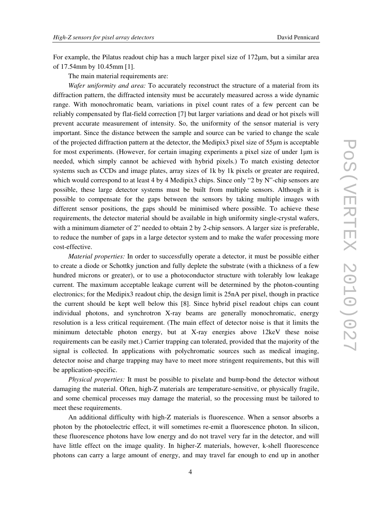For example, the Pilatus readout chip has a much larger pixel size of 172µm, but a similar area of 17.54mm by 10.45mm [1].

The main material requirements are:

*Wafer uniformity and area:* To accurately reconstruct the structure of a material from its diffraction pattern, the diffracted intensity must be accurately measured across a wide dynamic range. With monochromatic beam, variations in pixel count rates of a few percent can be reliably compensated by flat-field correction [7] but larger variations and dead or hot pixels will prevent accurate measurement of intensity. So, the uniformity of the sensor material is very important. Since the distance between the sample and source can be varied to change the scale of the projected diffraction pattern at the detector, the Medipix3 pixel size of 55µm is acceptable for most experiments. (However, for certain imaging experiments a pixel size of under  $1\mu$ m is needed, which simply cannot be achieved with hybrid pixels.) To match existing detector systems such as CCDs and image plates, array sizes of 1k by 1k pixels or greater are required, which would correspond to at least 4 by 4 Medipix3 chips. Since only "2 by N"-chip sensors are possible, these large detector systems must be built from multiple sensors. Although it is possible to compensate for the gaps between the sensors by taking multiple images with different sensor positions, the gaps should be minimised where possible. To achieve these requirements, the detector material should be available in high uniformity single-crystal wafers, with a minimum diameter of 2" needed to obtain 2 by 2-chip sensors. A larger size is preferable, to reduce the number of gaps in a large detector system and to make the wafer processing more cost-effective.

*Material properties:* In order to successfully operate a detector, it must be possible either to create a diode or Schottky junction and fully deplete the substrate (with a thickness of a few hundred microns or greater), or to use a photoconductor structure with tolerably low leakage current. The maximum acceptable leakage current will be determined by the photon-counting electronics; for the Medipix3 readout chip, the design limit is 25nA per pixel, though in practice the current should be kept well below this [8]. Since hybrid pixel readout chips can count individual photons, and synchrotron X-ray beams are generally monochromatic, energy resolution is a less critical requirement. (The main effect of detector noise is that it limits the minimum detectable photon energy, but at X-ray energies above 12keV these noise requirements can be easily met.) Carrier trapping can tolerated, provided that the majority of the signal is collected. In applications with polychromatic sources such as medical imaging, detector noise and charge trapping may have to meet more stringent requirements, but this will be application-specific.

*Physical properties:* It must be possible to pixelate and bump-bond the detector without damaging the material. Often, high-Z materials are temperature-sensitive, or physically fragile, and some chemical processes may damage the material, so the processing must be tailored to meet these requirements.

An additional difficulty with high-Z materials is fluorescence. When a sensor absorbs a photon by the photoelectric effect, it will sometimes re-emit a fluorescence photon. In silicon, these fluorescence photons have low energy and do not travel very far in the detector, and will have little effect on the image quality. In higher-Z materials, however, k-shell fluorescence photons can carry a large amount of energy, and may travel far enough to end up in another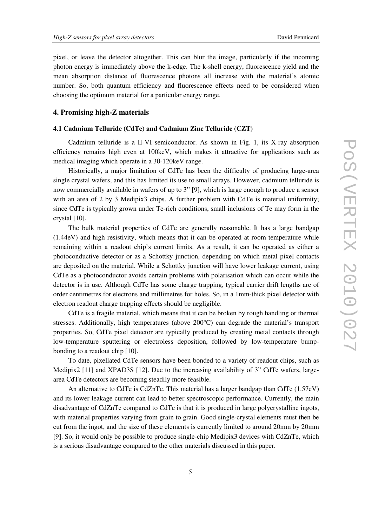pixel, or leave the detector altogether. This can blur the image, particularly if the incoming photon energy is immediately above the k-edge. The k-shell energy, fluorescence yield and the mean absorption distance of fluorescence photons all increase with the material's atomic number. So, both quantum efficiency and fluorescence effects need to be considered when choosing the optimum material for a particular energy range.

#### **4. Promising high-Z materials**

#### **4.1 Cadmium Telluride (CdTe) and Cadmium Zinc Telluride (CZT)**

Cadmium telluride is a II-VI semiconductor. As shown in Fig. 1, its X-ray absorption efficiency remains high even at 100keV, which makes it attractive for applications such as medical imaging which operate in a 30-120keV range.

Historically, a major limitation of CdTe has been the difficulty of producing large-area single crystal wafers, and this has limited its use to small arrays. However, cadmium telluride is now commercially available in wafers of up to 3" [9], which is large enough to produce a sensor with an area of 2 by 3 Medipix3 chips. A further problem with CdTe is material uniformity; since CdTe is typically grown under Te-rich conditions, small inclusions of Te may form in the crystal [10].

The bulk material properties of CdTe are generally reasonable. It has a large bandgap (1.44eV) and high resistivity, which means that it can be operated at room temperature while remaining within a readout chip's current limits. As a result, it can be operated as either a photoconductive detector or as a Schottky junction, depending on which metal pixel contacts are deposited on the material. While a Schottky junction will have lower leakage current, using CdTe as a photoconductor avoids certain problems with polarisation which can occur while the detector is in use. Although CdTe has some charge trapping, typical carrier drift lengths are of order centimetres for electrons and millimetres for holes. So, in a 1mm-thick pixel detector with electron readout charge trapping effects should be negligible.

CdTe is a fragile material, which means that it can be broken by rough handling or thermal stresses. Additionally, high temperatures (above 200°C) can degrade the material's transport properties. So, CdTe pixel detector are typically produced by creating metal contacts through low-temperature sputtering or electroless deposition, followed by low-temperature bumpbonding to a readout chip [10].

To date, pixellated CdTe sensors have been bonded to a variety of readout chips, such as Medipix2 [11] and XPAD3S [12]. Due to the increasing availability of 3" CdTe wafers, largearea CdTe detectors are becoming steadily more feasible.

An alternative to CdTe is CdZnTe. This material has a larger bandgap than CdTe (1.57eV) and its lower leakage current can lead to better spectroscopic performance. Currently, the main disadvantage of CdZnTe compared to CdTe is that it is produced in large polycrystalline ingots, with material properties varying from grain to grain. Good single-crystal elements must then be cut from the ingot, and the size of these elements is currently limited to around 20mm by 20mm [9]. So, it would only be possible to produce single-chip Medipix3 devices with CdZnTe, which is a serious disadvantage compared to the other materials discussed in this paper.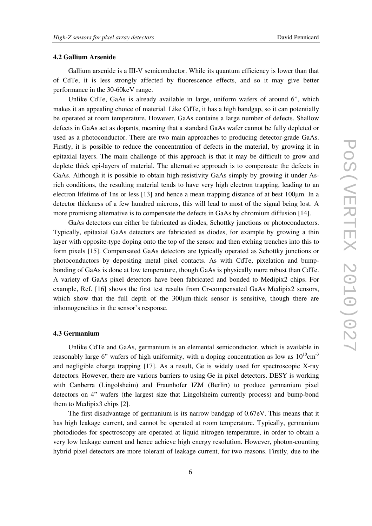#### **4.2 Gallium Arsenide**

Gallium arsenide is a III-V semiconductor. While its quantum efficiency is lower than that of CdTe, it is less strongly affected by fluorescence effects, and so it may give better performance in the 30-60keV range.

Unlike CdTe, GaAs is already available in large, uniform wafers of around 6", which makes it an appealing choice of material. Like CdTe, it has a high bandgap, so it can potentially be operated at room temperature. However, GaAs contains a large number of defects. Shallow defects in GaAs act as dopants, meaning that a standard GaAs wafer cannot be fully depleted or used as a photoconductor. There are two main approaches to producing detector-grade GaAs. Firstly, it is possible to reduce the concentration of defects in the material, by growing it in epitaxial layers. The main challenge of this approach is that it may be difficult to grow and deplete thick epi-layers of material. The alternative approach is to compensate the defects in GaAs. Although it is possible to obtain high-resistivity GaAs simply by growing it under Asrich conditions, the resulting material tends to have very high electron trapping, leading to an electron lifetime of 1ns or less [13] and hence a mean trapping distance of at best 100µm. In a detector thickness of a few hundred microns, this will lead to most of the signal being lost. A more promising alternative is to compensate the defects in GaAs by chromium diffusion [14].

GaAs detectors can either be fabricated as diodes, Schottky junctions or photoconductors. Typically, epitaxial GaAs detectors are fabricated as diodes, for example by growing a thin layer with opposite-type doping onto the top of the sensor and then etching trenches into this to form pixels [15]. Compensated GaAs detectors are typically operated as Schottky junctions or photoconductors by depositing metal pixel contacts. As with CdTe, pixelation and bumpbonding of GaAs is done at low temperature, though GaAs is physically more robust than CdTe. A variety of GaAs pixel detectors have been fabricated and bonded to Medipix2 chips. For example, Ref. [16] shows the first test results from Cr-compensated GaAs Medipix2 sensors, which show that the full depth of the 300  $\mu$ m-thick sensor is sensitive, though there are inhomogeneities in the sensor's response.

## **4.3 Germanium**

Unlike CdTe and GaAs, germanium is an elemental semiconductor, which is available in reasonably large 6" wafers of high uniformity, with a doping concentration as low as  $10^{10}$ cm<sup>-3</sup> and negligible charge trapping [17]. As a result, Ge is widely used for spectroscopic X-ray detectors. However, there are various barriers to using Ge in pixel detectors. DESY is working with Canberra (Lingolsheim) and Fraunhofer IZM (Berlin) to produce germanium pixel detectors on 4" wafers (the largest size that Lingolsheim currently process) and bump-bond them to Medipix3 chips [2].

The first disadvantage of germanium is its narrow bandgap of 0.67eV. This means that it has high leakage current, and cannot be operated at room temperature. Typically, germanium photodiodes for spectroscopy are operated at liquid nitrogen temperature, in order to obtain a very low leakage current and hence achieve high energy resolution. However, photon-counting hybrid pixel detectors are more tolerant of leakage current, for two reasons. Firstly, due to the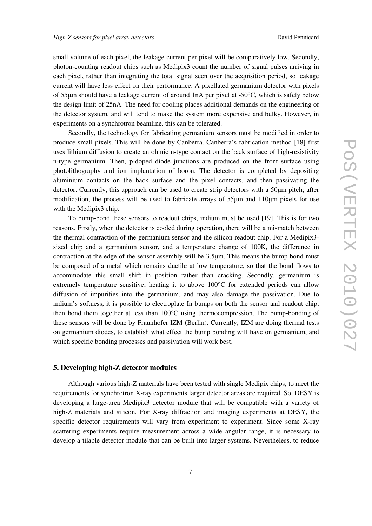small volume of each pixel, the leakage current per pixel will be comparatively low. Secondly, photon-counting readout chips such as Medipix3 count the number of signal pulses arriving in each pixel, rather than integrating the total signal seen over the acquisition period, so leakage current will have less effect on their performance. A pixellated germanium detector with pixels of 55µm should have a leakage current of around 1nA per pixel at -50°C, which is safely below the design limit of 25nA. The need for cooling places additional demands on the engineering of the detector system, and will tend to make the system more expensive and bulky. However, in experiments on a synchrotron beamline, this can be tolerated.

Secondly, the technology for fabricating germanium sensors must be modified in order to produce small pixels. This will be done by Canberra. Canberra's fabrication method [18] first uses lithium diffusion to create an ohmic n-type contact on the back surface of high-resistivity n-type germanium. Then, p-doped diode junctions are produced on the front surface using photolithography and ion implantation of boron. The detector is completed by depositing aluminium contacts on the back surface and the pixel contacts, and then passivating the detector. Currently, this approach can be used to create strip detectors with a 50µm pitch; after modification, the process will be used to fabricate arrays of 55µm and 110µm pixels for use with the Medipix3 chip.

To bump-bond these sensors to readout chips, indium must be used [19]. This is for two reasons. Firstly, when the detector is cooled during operation, there will be a mismatch between the thermal contraction of the germanium sensor and the silicon readout chip. For a Medipix3 sized chip and a germanium sensor, and a temperature change of 100K, the difference in contraction at the edge of the sensor assembly will be 3.5µm. This means the bump bond must be composed of a metal which remains ductile at low temperature, so that the bond flows to accommodate this small shift in position rather than cracking. Secondly, germanium is extremely temperature sensitive; heating it to above 100°C for extended periods can allow diffusion of impurities into the germanium, and may also damage the passivation. Due to indium's softness, it is possible to electroplate In bumps on both the sensor and readout chip, then bond them together at less than 100°C using thermocompression. The bump-bonding of these sensors will be done by Fraunhofer IZM (Berlin). Currently, IZM are doing thermal tests on germanium diodes, to establish what effect the bump bonding will have on germanium, and which specific bonding processes and passivation will work best.

# **5. Developing high-Z detector modules**

Although various high-Z materials have been tested with single Medipix chips, to meet the requirements for synchrotron X-ray experiments larger detector areas are required. So, DESY is developing a large-area Medipix3 detector module that will be compatible with a variety of high-Z materials and silicon. For X-ray diffraction and imaging experiments at DESY, the specific detector requirements will vary from experiment to experiment. Since some X-ray scattering experiments require measurement across a wide angular range, it is necessary to develop a tilable detector module that can be built into larger systems. Nevertheless, to reduce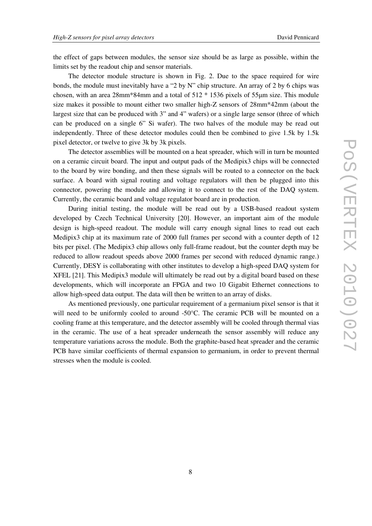the effect of gaps between modules, the sensor size should be as large as possible, within the limits set by the readout chip and sensor materials.

The detector module structure is shown in Fig. 2. Due to the space required for wire bonds, the module must inevitably have a "2 by N" chip structure. An array of 2 by 6 chips was chosen, with an area 28mm\*84mm and a total of 512 \* 1536 pixels of 55µm size. This module size makes it possible to mount either two smaller high-Z sensors of 28mm\*42mm (about the largest size that can be produced with 3" and 4" wafers) or a single large sensor (three of which can be produced on a single 6" Si wafer). The two halves of the module may be read out independently. Three of these detector modules could then be combined to give 1.5k by 1.5k pixel detector, or twelve to give 3k by 3k pixels.

The detector assemblies will be mounted on a heat spreader, which will in turn be mounted on a ceramic circuit board. The input and output pads of the Medipix3 chips will be connected to the board by wire bonding, and then these signals will be routed to a connector on the back surface. A board with signal routing and voltage regulators will then be plugged into this connector, powering the module and allowing it to connect to the rest of the DAQ system. Currently, the ceramic board and voltage regulator board are in production.

During initial testing, the module will be read out by a USB-based readout system developed by Czech Technical University [20]. However, an important aim of the module design is high-speed readout. The module will carry enough signal lines to read out each Medipix3 chip at its maximum rate of 2000 full frames per second with a counter depth of 12 bits per pixel. (The Medipix3 chip allows only full-frame readout, but the counter depth may be reduced to allow readout speeds above 2000 frames per second with reduced dynamic range.) Currently, DESY is collaborating with other institutes to develop a high-speed DAQ system for XFEL [21]. This Medipix3 module will ultimately be read out by a digital board based on these developments, which will incorporate an FPGA and two 10 Gigabit Ethernet connections to allow high-speed data output. The data will then be written to an array of disks.

As mentioned previously, one particular requirement of a germanium pixel sensor is that it will need to be uniformly cooled to around -50°C. The ceramic PCB will be mounted on a cooling frame at this temperature, and the detector assembly will be cooled through thermal vias in the ceramic. The use of a heat spreader underneath the sensor assembly will reduce any temperature variations across the module. Both the graphite-based heat spreader and the ceramic PCB have similar coefficients of thermal expansion to germanium, in order to prevent thermal stresses when the module is cooled.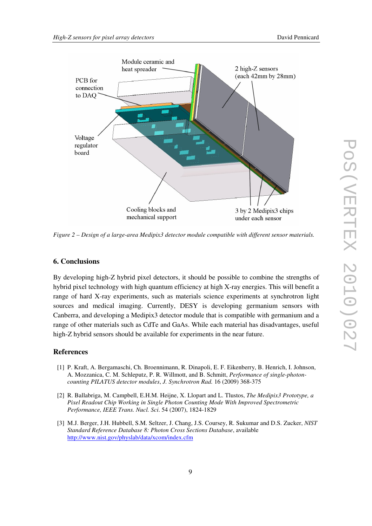

*Figure 2 – Design of a large-area Medipix3 detector module compatible with different sensor materials.*

#### **6. Conclusions**

By developing high-Z hybrid pixel detectors, it should be possible to combine the strengths of hybrid pixel technology with high quantum efficiency at high X-ray energies. This will benefit a range of hard X-ray experiments, such as materials science experiments at synchrotron light sources and medical imaging. Currently, DESY is developing germanium sensors with Canberra, and developing a Medipix3 detector module that is compatible with germanium and a range of other materials such as CdTe and GaAs. While each material has disadvantages, useful high-Z hybrid sensors should be available for experiments in the near future.

#### **References**

- [1] P. Kraft, A. Bergamaschi, Ch. Broennimann, R. Dinapoli, E. F. Eikenberry, B. Henrich, I. Johnson, A. Mozzanica, C. M. Schleputz, P. R. Willmott, and B. Schmitt, *Performance of single-photoncounting PILATUS detector modules*, *J. Synchrotron Rad.* 16 (2009) 368-375
- [2] R. Ballabriga, M. Campbell, E.H.M. Heijne, X. Llopart and L. Tlustos, *The Medipix3 Prototype, a Pixel Readout Chip Working in Single Photon Counting Mode With Improved Spectrometric Performance, IEEE Trans. Nucl. Sci*. 54 (2007), 1824-1829
- [3] M.J. Berger, J.H. Hubbell, S.M. Seltzer, J. Chang, J.S. Coursey, R. Sukumar and D.S. Zucker, *NIST Standard Reference Database 8: Photon Cross Sections Database*, available http://www.nist.gov/physlab/data/xcom/index.cfm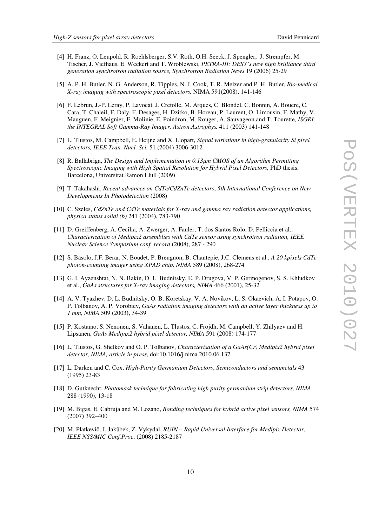- [4] H. Franz, O. Leupold, R. Roehlsberger, S.V. Roth, O.H. Seeck, J. Spengler, J. Strempfer, M. Tischer, J. Viefhaus, E. Weckert and T. Wroblewski, *PETRA-III: DESY's new high brilliance third generation synchrotron radiation source, Synchrotron Radiation News* 19 (2006) 25-29
- [5] A. P. H. Butler, N. G. Anderson, R. Tipples, N. J. Cook, T. R. Melzer and P. H. Butler, *Bio-medical X-ray imaging with spectroscopic pixel detectors,* NIMA 591(2008), 141-146
- [6] F. Lebrun, J.-P. Leray, P. Lavocat, J. Cretolle, M. Arques, C. Blondel, C. Bonnin, A. Bouere, C. Cara, T. Chaleil, F. Daly, F. Desages, H. Dzitko, B. Horeau, P. Laurent, O. Limousin, F. Mathy, V. Mauguen, F. Meignier, F. Molinie, E. Poindron, M. Rouger, A. Sauvageon and T. Tourette*, ISGRI: the INTEGRAL Soft Gamma-Ray Imager, Astron.Astrophys.* 411 (2003) 141-148
- [7] L. Tlustos, M. Campbell, E. Heijne and X. Llopart, *Signal variations in high-granularity Si pixel detectors, IEEE Tran. Nucl. Sci.* 51 (2004) 3006-3012
- [8] R. Ballabriga, *The Design and Implementation in 0.13*µ*m CMOS of an Algorithm Permitting Spectroscopic Imaging with High Spatial Resolution for Hybrid Pixel Detectors,* PhD thesis, Barcelona, Universitat Ramon Llull (2009)
- [9] T. Takahashi, *Recent advances on CdTe/CdZnTe detectors*, *5th International Conference on New Developments In Photodetection* (2008)
- [10] C. Szeles, *CdZnTe and CdTe materials for X-ray and gamma ray radiation detector applications, physica status solidi (b)* 241 (2004), 783-790
- [11] D. Greiffenberg, A. Cecilia, A. Zwerger, A. Fauler, T. dos Santos Rolo, D. Pelliccia et al., *Characterization of Medipix2 assemblies with CdTe sensor using synchrotron radiation, IEEE Nuclear Science Symposium conf. record* (2008), 287 - 290
- [12] S. Basolo, J.F. Berar, N. Boudet, P. Breugnon, B. Chantepie, J.C. Clemens et al., *A 20 kpixels CdTe photon-counting imager using XPAD chip, NIMA* 589 (2008), 268-274
- [13] G. I. Ayzenshtat, N. N. Bakin, D. L. Budnitsky, E. P. Drugova, V. P. Germogenov, S. S. Khludkov et al., *GaAs structures for X-ray imaging detectors, NIMA* 466 (2001), 25-32
- [14] A. V. Tyazhev, D. L. Budnitsky, O. B. Koretskay, V. A. Novikov, L. S. Okaevich, A. I. Potapov, O. P. Tolbanov, A. P. Vorobiev, *GaAs radiation imaging detectors with an active layer thickness up to 1 mm, NIMA* 509 (2003**)**, 34-39
- [15] P. Kostamo, S. Nenonen, S. Vahanen, L. Tlustos, C. Frojdh, M. Campbell, Y. Zhilyaev and H. Lipsanen, *GaAs Medipix2 hybrid pixel detector, NIMA* 591 (2008) 174-177
- [16] L. Tlustos, G. Shelkov and O. P. Tolbanov, *Characterisation of a GaAs(Cr) Medipix2 hybrid pixel detector, NIMA, article in press*, doi:10.1016/j.nima.2010.06.137
- [17] L. Darken and C. Cox, *High-Purity Germanium Detectors*, *Semiconductors and semimetals* 43 (1995) 23-83
- [18] D. Gutknecht, *Photomask technique for fabricating high purity germanium strip detectors, NIMA* 288 (1990), 13-18
- [19] M. Bigas, E. Cabruja and M. Lozano, *Bonding techniques for hybrid active pixel sensors, NIMA* 574 (2007) 392–400
- [20] M. Platkevič, J. Jakůbek, Z. Vykydal, *RUIN Rapid Universal Interface for Medipix Detector*, *IEEE NSS/MIC Conf.Proc*. (2008) 2185-2187